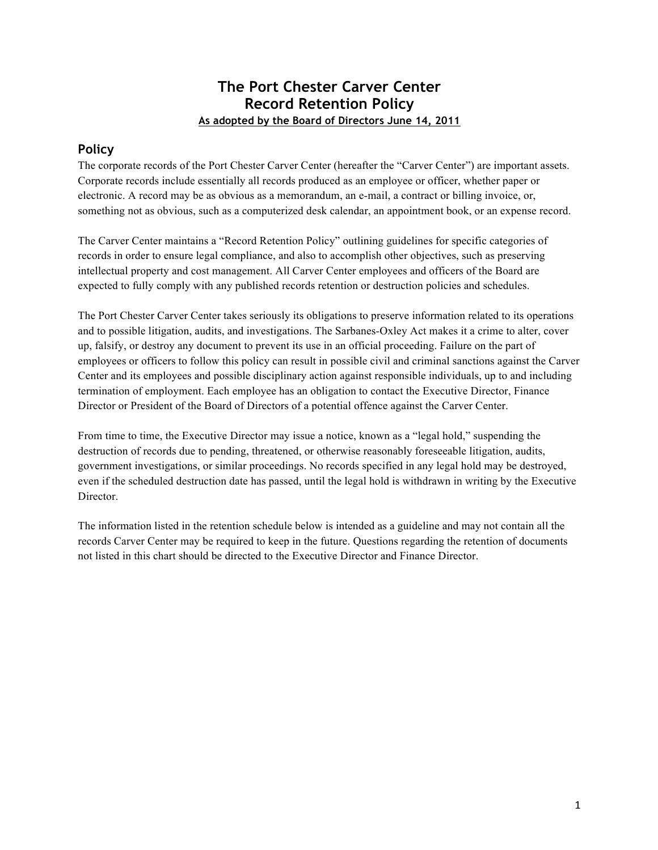## **The Port Chester Carver Center Record Retention Policy As adopted by the Board of Directors June 14, 2011**

## **Policy**

The corporate records of the Port Chester Carver Center (hereafter the "Carver Center") are important assets. Corporate records include essentially all records produced as an employee or officer, whether paper or electronic. A record may be as obvious as a memorandum, an e-mail, a contract or billing invoice, or, something not as obvious, such as a computerized desk calendar, an appointment book, or an expense record.

The Carver Center maintains a "Record Retention Policy" outlining guidelines for specific categories of records in order to ensure legal compliance, and also to accomplish other objectives, such as preserving intellectual property and cost management. All Carver Center employees and officers of the Board are expected to fully comply with any published records retention or destruction policies and schedules.

The Port Chester Carver Center takes seriously its obligations to preserve information related to its operations and to possible litigation, audits, and investigations. The Sarbanes-Oxley Act makes it a crime to alter, cover up, falsify, or destroy any document to prevent its use in an official proceeding. Failure on the part of employees or officers to follow this policy can result in possible civil and criminal sanctions against the Carver Center and its employees and possible disciplinary action against responsible individuals, up to and including termination of employment. Each employee has an obligation to contact the Executive Director, Finance Director or President of the Board of Directors of a potential offence against the Carver Center.

From time to time, the Executive Director may issue a notice, known as a "legal hold," suspending the destruction of records due to pending, threatened, or otherwise reasonably foreseeable litigation, audits, government investigations, or similar proceedings. No records specified in any legal hold may be destroyed, even if the scheduled destruction date has passed, until the legal hold is withdrawn in writing by the Executive Director.

The information listed in the retention schedule below is intended as a guideline and may not contain all the records Carver Center may be required to keep in the future. Questions regarding the retention of documents not listed in this chart should be directed to the Executive Director and Finance Director.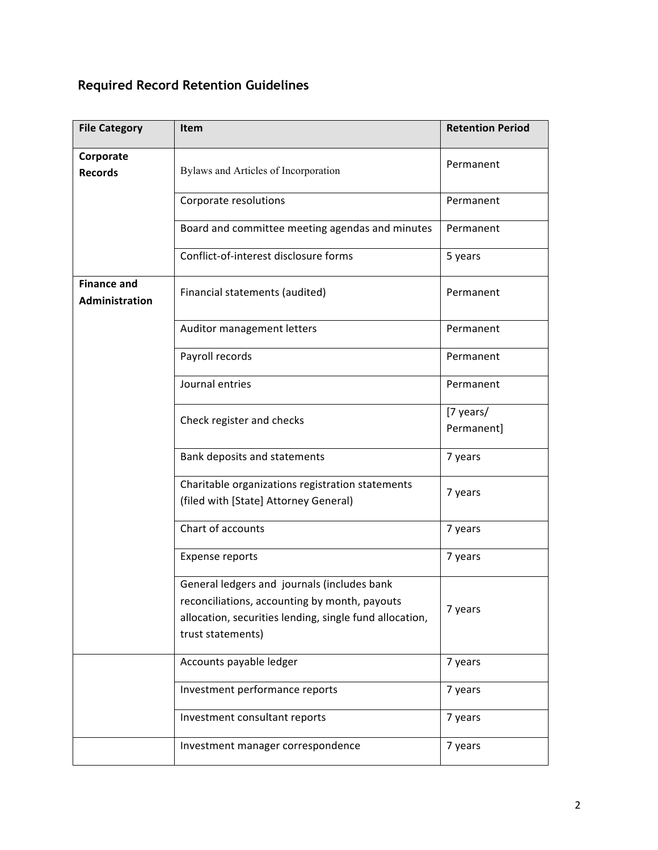# **Required Record Retention Guidelines**

| <b>File Category</b>                 | <b>Item</b>                                                                                                                                                                  | <b>Retention Period</b> |
|--------------------------------------|------------------------------------------------------------------------------------------------------------------------------------------------------------------------------|-------------------------|
| Corporate<br><b>Records</b>          | Bylaws and Articles of Incorporation                                                                                                                                         | Permanent               |
|                                      | Corporate resolutions                                                                                                                                                        | Permanent               |
|                                      | Board and committee meeting agendas and minutes                                                                                                                              | Permanent               |
|                                      | Conflict-of-interest disclosure forms                                                                                                                                        | 5 years                 |
| <b>Finance and</b><br>Administration | Financial statements (audited)                                                                                                                                               | Permanent               |
|                                      | Auditor management letters                                                                                                                                                   | Permanent               |
|                                      | Payroll records                                                                                                                                                              | Permanent               |
|                                      | Journal entries                                                                                                                                                              | Permanent               |
|                                      | Check register and checks                                                                                                                                                    | [7 years/<br>Permanent] |
|                                      | Bank deposits and statements                                                                                                                                                 | 7 years                 |
|                                      | Charitable organizations registration statements<br>(filed with [State] Attorney General)                                                                                    | 7 years                 |
|                                      | Chart of accounts                                                                                                                                                            | 7 years                 |
|                                      | <b>Expense reports</b>                                                                                                                                                       | 7 years                 |
|                                      | General ledgers and journals (includes bank<br>reconciliations, accounting by month, payouts<br>allocation, securities lending, single fund allocation,<br>trust statements) | 7 years                 |
|                                      | Accounts payable ledger                                                                                                                                                      | 7 years                 |
|                                      | Investment performance reports                                                                                                                                               | 7 years                 |
|                                      | Investment consultant reports                                                                                                                                                | 7 years                 |
|                                      | Investment manager correspondence                                                                                                                                            | 7 years                 |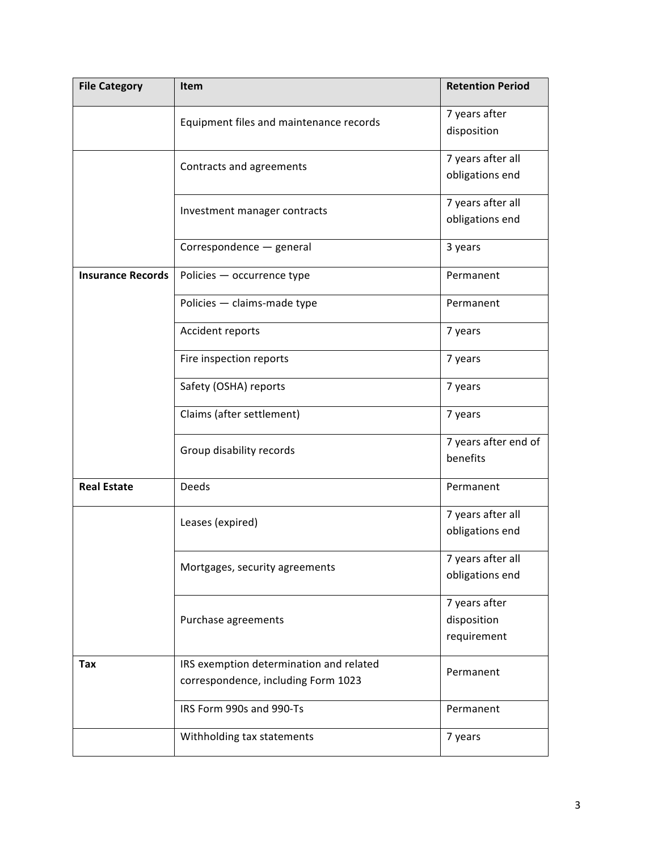| <b>File Category</b>     | <b>Item</b>                                                                    | <b>Retention Period</b>                     |
|--------------------------|--------------------------------------------------------------------------------|---------------------------------------------|
|                          | Equipment files and maintenance records                                        | 7 years after<br>disposition                |
|                          | Contracts and agreements                                                       | 7 years after all<br>obligations end        |
|                          | Investment manager contracts                                                   | 7 years after all<br>obligations end        |
|                          | Correspondence - general                                                       | 3 years                                     |
| <b>Insurance Records</b> | Policies - occurrence type                                                     | Permanent                                   |
|                          | Policies - claims-made type                                                    | Permanent                                   |
|                          | Accident reports                                                               | 7 years                                     |
|                          | Fire inspection reports                                                        | 7 years                                     |
|                          | Safety (OSHA) reports                                                          | 7 years                                     |
|                          | Claims (after settlement)                                                      | 7 years                                     |
|                          | Group disability records                                                       | 7 years after end of<br>benefits            |
| <b>Real Estate</b>       | Deeds                                                                          | Permanent                                   |
|                          | Leases (expired)                                                               | 7 years after all<br>obligations end        |
|                          | Mortgages, security agreements                                                 | 7 years after all<br>obligations end        |
|                          | Purchase agreements                                                            | 7 years after<br>disposition<br>requirement |
| Tax                      | IRS exemption determination and related<br>correspondence, including Form 1023 | Permanent                                   |
|                          | IRS Form 990s and 990-Ts                                                       | Permanent                                   |
|                          | Withholding tax statements                                                     | 7 years                                     |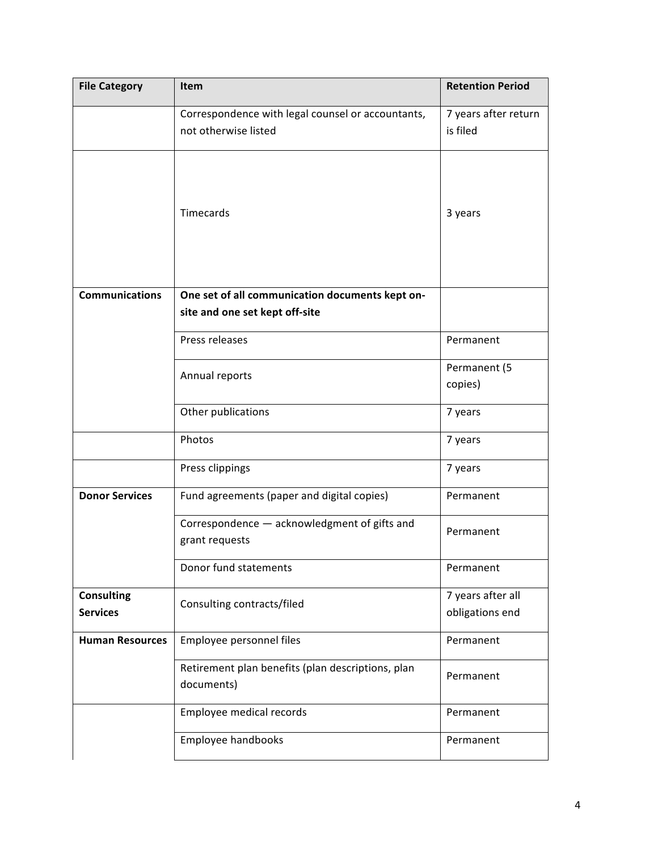| <b>File Category</b>   | Item                                              | <b>Retention Period</b> |
|------------------------|---------------------------------------------------|-------------------------|
|                        | Correspondence with legal counsel or accountants, | 7 years after return    |
|                        | not otherwise listed                              | is filed                |
|                        |                                                   |                         |
|                        |                                                   |                         |
|                        |                                                   |                         |
|                        | Timecards                                         | 3 years                 |
|                        |                                                   |                         |
|                        |                                                   |                         |
|                        |                                                   |                         |
| <b>Communications</b>  | One set of all communication documents kept on-   |                         |
|                        | site and one set kept off-site                    |                         |
|                        | Press releases                                    | Permanent               |
|                        |                                                   | Permanent (5            |
|                        | Annual reports                                    | copies)                 |
|                        |                                                   |                         |
|                        | Other publications                                | 7 years                 |
|                        | Photos                                            | 7 years                 |
|                        | Press clippings                                   | 7 years                 |
| <b>Donor Services</b>  | Fund agreements (paper and digital copies)        | Permanent               |
|                        | Correspondence - acknowledgment of gifts and      | Permanent               |
|                        | grant requests                                    |                         |
|                        | Donor fund statements                             | Permanent               |
| <b>Consulting</b>      |                                                   | 7 years after all       |
| <b>Services</b>        | Consulting contracts/filed                        | obligations end         |
| <b>Human Resources</b> | Employee personnel files                          | Permanent               |
|                        | Retirement plan benefits (plan descriptions, plan | Permanent               |
|                        | documents)                                        |                         |
|                        | Employee medical records                          | Permanent               |
|                        | Employee handbooks                                | Permanent               |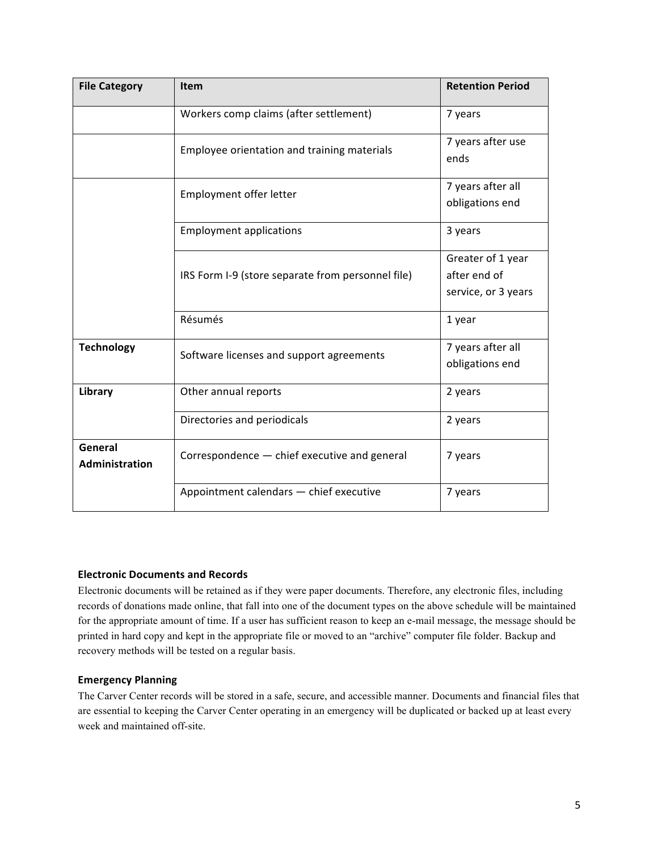| <b>File Category</b>      | <b>Item</b>                                       | <b>Retention Period</b>                                  |
|---------------------------|---------------------------------------------------|----------------------------------------------------------|
|                           | Workers comp claims (after settlement)            | 7 years                                                  |
|                           | Employee orientation and training materials       | 7 years after use<br>ends                                |
|                           | Employment offer letter                           | 7 years after all<br>obligations end                     |
|                           | <b>Employment applications</b>                    | 3 years                                                  |
|                           | IRS Form I-9 (store separate from personnel file) | Greater of 1 year<br>after end of<br>service, or 3 years |
|                           | Résumés                                           | 1 year                                                   |
| <b>Technology</b>         | Software licenses and support agreements          | 7 years after all<br>obligations end                     |
| Library                   | Other annual reports                              | 2 years                                                  |
|                           | Directories and periodicals                       | 2 years                                                  |
| General<br>Administration | Correspondence - chief executive and general      | 7 years                                                  |
|                           | Appointment calendars - chief executive           | 7 years                                                  |

#### **Electronic Documents and Records**

Electronic documents will be retained as if they were paper documents. Therefore, any electronic files, including records of donations made online, that fall into one of the document types on the above schedule will be maintained for the appropriate amount of time. If a user has sufficient reason to keep an e-mail message, the message should be printed in hard copy and kept in the appropriate file or moved to an "archive" computer file folder. Backup and recovery methods will be tested on a regular basis.

#### **Emergency Planning**

The Carver Center records will be stored in a safe, secure, and accessible manner. Documents and financial files that are essential to keeping the Carver Center operating in an emergency will be duplicated or backed up at least every week and maintained off-site.